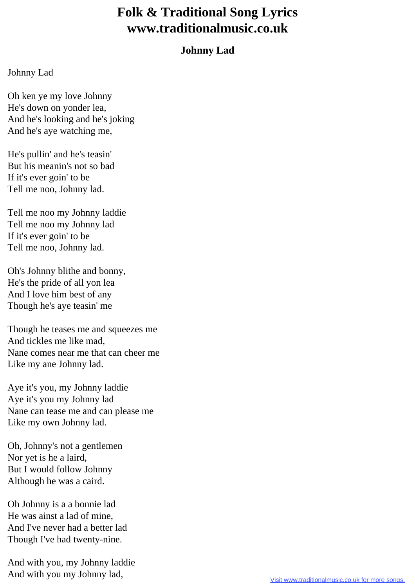## **Folk & Traditional Song Lyrics www.traditionalmusic.co.uk**

## **Johnny Lad**

## Johnny Lad

Oh ken ye my love Johnny He's down on yonder lea, And he's looking and he's joking And he's aye watching me,

He's pullin' and he's teasin' But his meanin's not so bad If it's ever goin' to be Tell me noo, Johnny lad.

Tell me noo my Johnny laddie Tell me noo my Johnny lad If it's ever goin' to be Tell me noo, Johnny lad.

Oh's Johnny blithe and bonny, He's the pride of all yon lea And I love him best of any Though he's aye teasin' me

Though he teases me and squeezes me And tickles me like mad, Nane comes near me that can cheer me Like my ane Johnny lad.

Aye it's you, my Johnny laddie Aye it's you my Johnny lad Nane can tease me and can please me Like my own Johnny lad.

Oh, Johnny's not a gentlemen Nor yet is he a laird, But I would follow Johnny Although he was a caird.

Oh Johnny is a a bonnie lad He was ainst a lad of mine, And I've never had a better lad Though I've had twenty-nine.

And with you, my Johnny laddie And with you my Johnny lad,